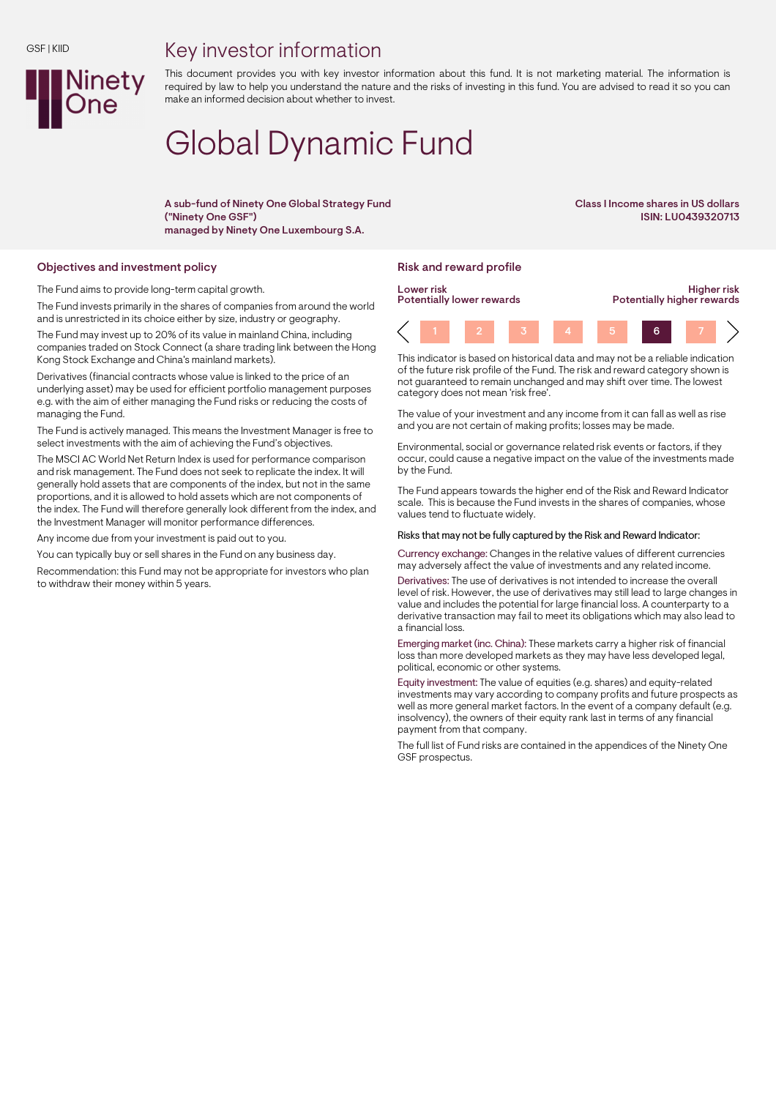## Key investor information



This document provides you with key investor information about this fund. It is not marketing material. The information is required by law to help you understand the nature and the risks of investing in this fund. You are advised to read it so you can make an informed decision about whether to invest.

# Global Dynamic Fund

A sub-fund of Ninety One Global Strategy Fund ("Ninety One GSF") managed by Ninety One Luxembourg S.A.

Class I Income shares in US dollars ISIN: LU0439320713

#### Objectives and investment policy **Risk and reward profile** Risk and reward profile

The Fund aims to provide long-term capital growth.

The Fund invests primarily in the shares of companies from around the world and is unrestricted in its choice either by size, industry or geography. The Fund may invest up to 20% of its value in mainland China, including companies traded on Stock Connect (a share trading link between the Hong Kong Stock Exchange and China's mainland markets).

Derivatives (financial contracts whose value is linked to the price of an underlying asset) may be used for efficient portfolio management purposes e.g. with the aim of either managing the Fund risks or reducing the costs of managing the Fund.

The Fund is actively managed. This means the Investment Manager is free to select investments with the aim of achieving the Fund's objectives.

The MSCI AC World Net Return Index is used for performance comparison and risk management. The Fund does not seek to replicate the index. It will generally hold assets that are components of the index, but not in the same proportions, and it is allowed to hold assets which are not components of the index. The Fund will therefore generally look different from the index, and the Investment Manager will monitor performance differences.

Any income due from your investment is paid out to you.

You can typically buy or sell shares in the Fund on any business day.

Recommendation: this Fund may not be appropriate for investors who plan to withdraw their money within 5 years.



This indicator is based on historical data and may not be a reliable indication of the future risk profile of the Fund. The risk and reward category shown is not guaranteed to remain unchanged and may shift over time. The lowest category does not mean 'risk free'.

The value of your investment and any income from it can fall as well as rise and you are not certain of making profits; losses may be made.

Environmental, social or governance related risk events or factors, if they occur, could cause a negative impact on the value of the investments made by the Fund.

The Fund appears towards the higher end of the Risk and Reward Indicator scale. This is because the Fund invests in the shares of companies, whose values tend to fluctuate widely.

### Risks that may not be fully captured by the Risk and Reward Indicator:

Currency exchange: Changes in the relative values of different currencies may adversely affect the value of investments and any related income.

Derivatives: The use of derivatives is not intended to increase the overall level of risk. However, the use of derivatives may still lead to large changes in value and includes the potential for large financial loss. A counterparty to a derivative transaction may fail to meet its obligations which may also lead to a financial loss.

Emerging market (inc. China): These markets carry a higher risk of financial loss than more developed markets as they may have less developed legal, political, economic or other systems.

Equity investment: The value of equities (e.g. shares) and equity-related investments may vary according to company profits and future prospects as well as more general market factors. In the event of a company default (e.g. insolvency), the owners of their equity rank last in terms of any financial payment from that company.

The full list of Fund risks are contained in the appendices of the Ninety One GSF prospectus.